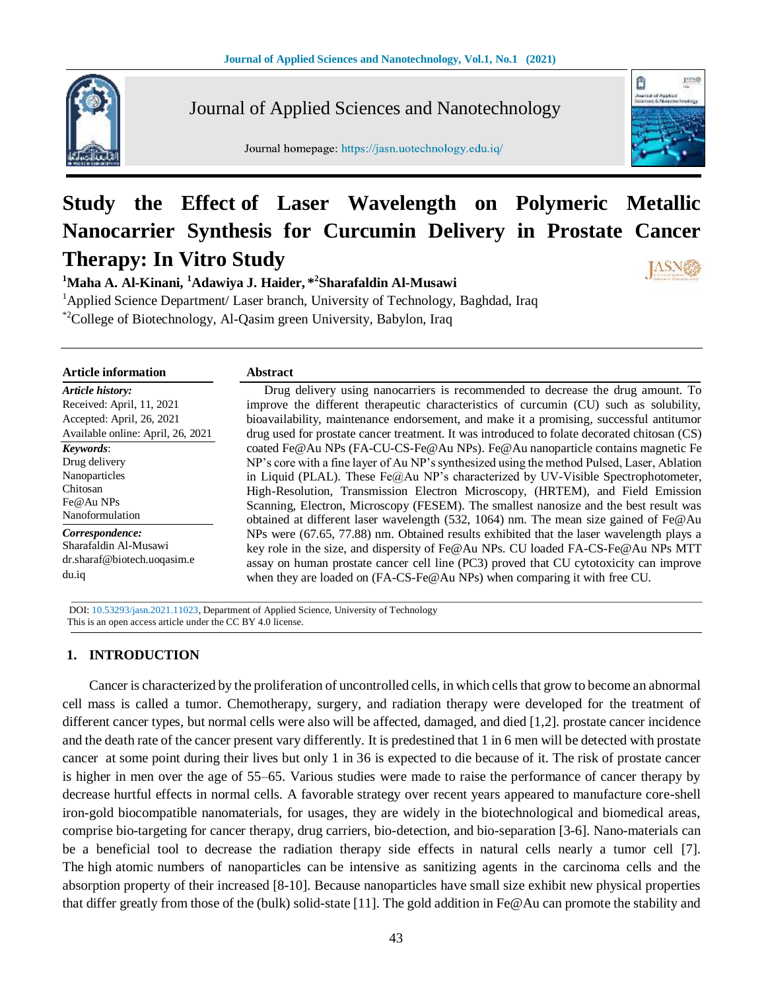

Journal of Applied Sciences and Nanotechnology

Journal homepage: https://jasn.uotechnology.edu.iq/



# **Study the Effect of Laser Wavelength on Polymeric Metallic Nanocarrier Synthesis for Curcumin Delivery in Prostate Cancer Therapy: In Vitro Study**

**<sup>1</sup>Maha A. Al-Kinani, <sup>1</sup>Adawiya J. Haider, \* 2 Sharafaldin Al-Musawi** <sup>1</sup>Applied Science Department/ Laser branch, University of Technology, Baghdad, Iraq

\*2College of Biotechnology, Al-Qasim green University, Babylon, Iraq

| <b>Article information</b>        | <b>Abstract</b>                                                                              |
|-----------------------------------|----------------------------------------------------------------------------------------------|
| Article history:                  | Drug delivery using nanocarriers is recommended to decrease the drug amount. To              |
| Received: April, 11, 2021         | improve the different therapeutic characteristics of curcumin (CU) such as solubility,       |
| Accepted: April, 26, 2021         | bioavailability, maintenance endorsement, and make it a promising, successful antitumor      |
| Available online: April, 26, 2021 | drug used for prostate cancer treatment. It was introduced to folate decorated chitosan (CS) |
| Keywords:                         | coated Fe@Au NPs (FA-CU-CS-Fe@Au NPs). Fe@Au nanoparticle contains magnetic Fe               |
| Drug delivery                     | NP's core with a fine layer of Au NP's synthesized using the method Pulsed, Laser, Ablation  |
| Nanoparticles                     | in Liquid (PLAL). These $Fe@Au NP's$ characterized by UV-Visible Spectrophotometer,          |
| Chitosan                          | High-Resolution, Transmission Electron Microscopy, (HRTEM), and Field Emission               |
| Fe@Au NPs                         | Scanning, Electron, Microscopy (FESEM). The smallest nanosize and the best result was        |
| Nanoformulation                   | obtained at different laser wavelength $(532, 1064)$ nm. The mean size gained of Fe@Au       |
| Correspondence:                   | NPs were (67.65, 77.88) nm. Obtained results exhibited that the laser wavelength plays a     |
| Sharafaldin Al-Musawi             | key role in the size, and dispersity of Fe@Au NPs. CU loaded FA-CS-Fe@Au NPs MTT             |
| dr.sharaf@biotech.uoqasim.e       | assay on human prostate cancer cell line (PC3) proved that CU cytotoxicity can improve       |
| du.iq                             | when they are loaded on (FA-CS-Fe@Au NPs) when comparing it with free CU.                    |

 DOI: 10.53293/jasn.2021.11023, Department of Applied Science, University of Technology This is an open access article under the CC BY 4.0 license.

# **1. INTRODUCTION**

Cancer is characterized by the proliferation of uncontrolled cells, in which cells that grow to become an abnormal cell mass is called a tumor. Chemotherapy, surgery, and radiation therapy were developed for the treatment of different cancer types, but normal cells were also will be affected, damaged, and died [1,2]. prostate cancer incidence and the death rate of the cancer present vary differently. It is predestined that 1 in 6 men will be detected with prostate cancer at some point during their lives but only 1 in 36 is expected to die because of it. The risk of prostate cancer is higher in men over the age of 55–65. Various studies were made to raise the performance of cancer therapy by decrease hurtful effects in normal cells. A favorable strategy over recent years appeared to manufacture core-shell iron-gold biocompatible nanomaterials, for usages, they are widely in the biotechnological and biomedical areas, comprise bio-targeting for cancer therapy, drug carriers, bio-detection, and bio-separation [3-6]. Nano-materials can be a beneficial tool to decrease the radiation therapy side effects in natural cells nearly a tumor cell [7]. The high atomic numbers of nanoparticles can be intensive as sanitizing agents in the carcinoma cells and the absorption property of their increased [8-10]. Because nanoparticles have small size exhibit new physical properties that differ greatly from those of the (bulk) solid-state [11]. The gold addition in Fe@Au can promote the stability and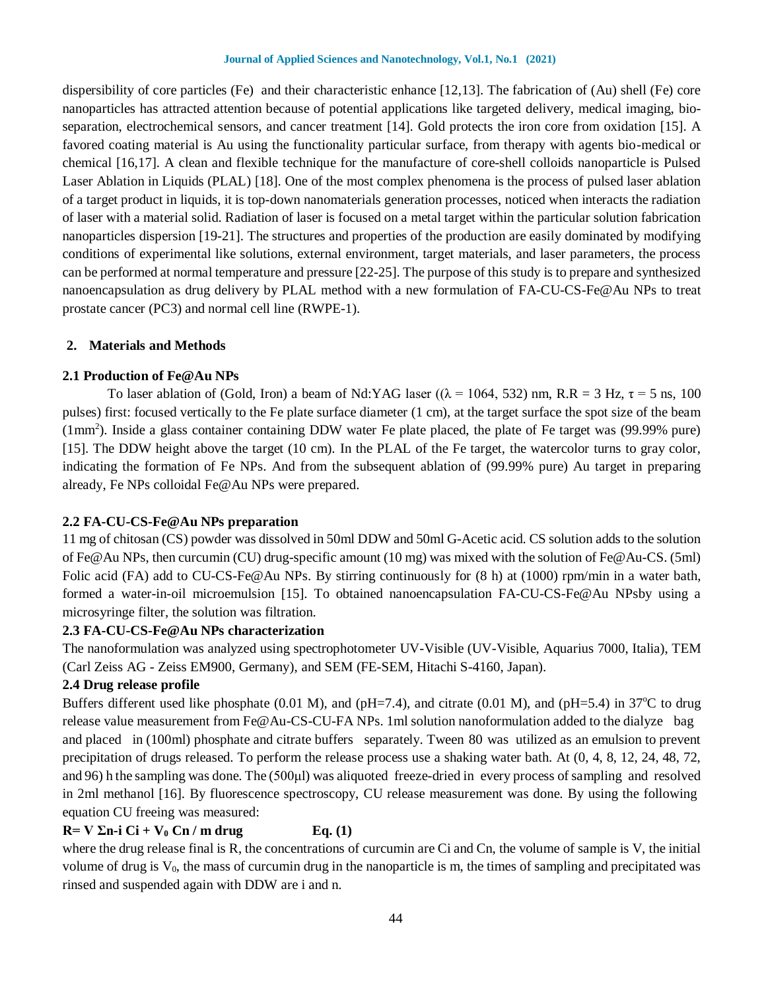#### **Journal of Applied Sciences and Nanotechnology, Vol.1, No.1 (2021)**

dispersibility of core particles (Fe) and their characteristic enhance [12,13]. The fabrication of (Au) shell (Fe) core nanoparticles has attracted attention because of potential applications like targeted delivery, medical imaging, bioseparation, electrochemical sensors, and cancer treatment [14]. Gold protects the iron core from oxidation [15]. A favored coating material is Au using the functionality particular surface, from therapy with agents bio-medical or chemical [16,17]. A clean and flexible technique for the manufacture of core-shell colloids nanoparticle is Pulsed Laser Ablation in Liquids (PLAL) [18]. One of the most complex phenomena is the process of pulsed laser ablation of a target product in liquids, it is top-down nanomaterials generation processes, noticed when interacts the radiation of laser with a material solid. Radiation of laser is focused on a metal target within the particular solution fabrication nanoparticles dispersion [19-21]. The structures and properties of the production are easily dominated by modifying conditions of experimental like solutions, external environment, target materials, and laser parameters, the process can be performed at normal temperature and pressure [22-25]. The purpose of this study is to prepare and synthesized nanoencapsulation as drug delivery by PLAL method with a new formulation of FA-CU-CS-Fe@Au NPs to treat prostate cancer (PC3) and normal cell line (RWPE-1).

#### **2. Materials and Methods**

#### **2.1 Production of Fe@Au NPs**

To laser ablation of (Gold, Iron) a beam of Nd:YAG laser ( $(\lambda = 1064, 532)$  nm, R.R = 3 Hz,  $\tau = 5$  ns, 100 pulses) first: focused vertically to the Fe plate surface diameter (1 cm), at the target surface the spot size of the beam  $(1mm<sup>2</sup>)$ . Inside a glass container containing DDW water Fe plate placed, the plate of Fe target was (99.99% pure) [15]. The DDW height above the target (10 cm). In the PLAL of the Fe target, the watercolor turns to gray color, indicating the formation of Fe NPs. And from the subsequent ablation of (99.99% pure) Au target in preparing already, Fe NPs colloidal Fe@Au NPs were prepared.

# **2.2 FA-CU-CS-Fe@Au NPs preparation**

11 mg of chitosan (CS) powder was dissolved in 50ml DDW and 50ml G-Acetic acid. CS solution adds to the solution of Fe@Au NPs, then curcumin (CU) drug-specific amount (10 mg) was mixed with the solution of Fe@Au-CS. (5ml) Folic acid (FA) add to CU-CS-Fe@Au NPs. By stirring continuously for (8 h) at (1000) rpm/min in a water bath, formed a water-in-oil microemulsion [15]. To obtained nanoencapsulation FA-CU-CS-Fe@Au NPsby using a microsyringe filter, the solution was filtration.

# **2.3 FA-CU-CS-Fe@Au NPs characterization**

The nanoformulation was analyzed using spectrophotometer UV-Visible (UV-Visible, Aquarius 7000, Italia), TEM (Carl Zeiss AG - Zeiss EM900, Germany), and SEM (FE-SEM, Hitachi S-4160, Japan).

# **2.4 Drug release profile**

Buffers different used like phosphate (0.01 M), and (pH=7.4), and citrate (0.01 M), and (pH=5.4) in 37<sup>o</sup>C to drug release value measurement from Fe@Au-CS-CU-FA NPs. 1ml solution nanoformulation added to the dialyze bag and placed in (100ml) phosphate and citrate buffers separately. Tween 80 was, utilized as an emulsion to prevent precipitation of drugs released. To perform the release process use a shaking water bath. At (0, 4, 8, 12, 24, 48, 72, and 96) h the sampling was done. The (500µl) was aliquoted, freeze-dried in, every process of sampling, and, resolved in 2ml methanol [16]. By fluorescence spectroscopy, CU release measurement was done. By using the following, equation CU freeing was measured:

# $R= V \Sigma n-i Ci + V_0 Cn / m$  drug Eq. (1)

where the drug release final is R, the concentrations of curcumin are Ci and Cn, the volume of sample is V, the initial volume of drug is  $V_0$ , the mass of curcumin drug in the nanoparticle is m, the times of sampling and precipitated was rinsed and suspended again with DDW are i and n.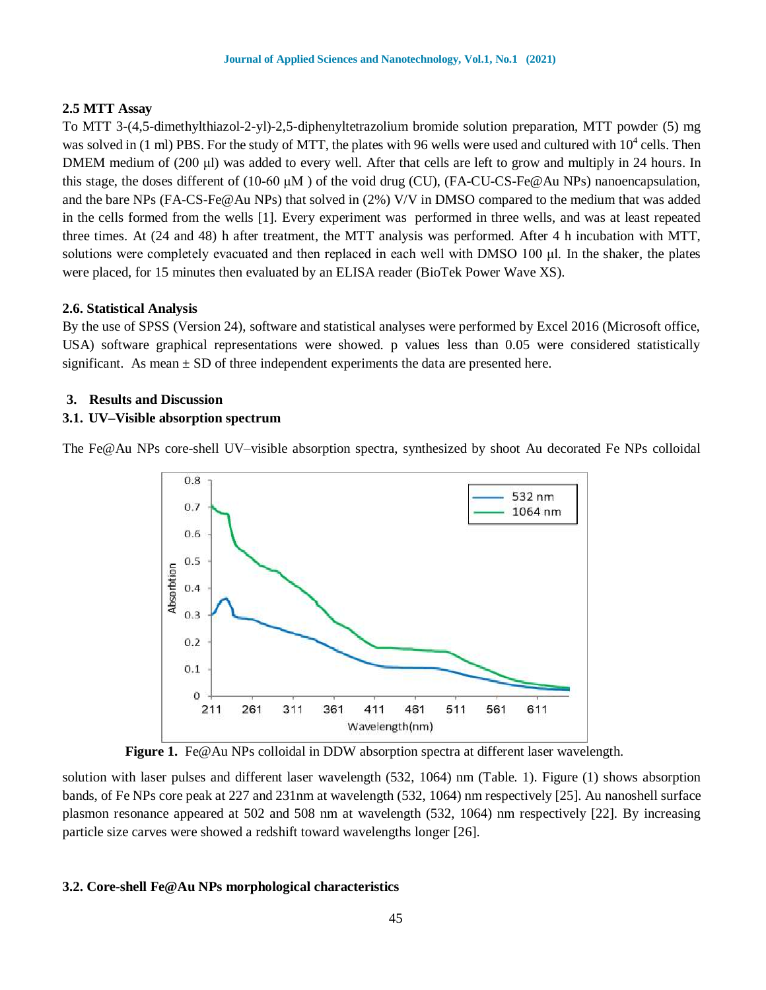# **2.5 MTT Assay**

To MTT 3-(4,5-dimethylthiazol-2-yl)-2,5-diphenyltetrazolium bromide solution preparation, MTT powder (5) mg was solved in  $(1 \text{ ml})$  PBS. For the study of MTT, the plates with 96 wells were used and cultured with  $10^4$  cells. Then DMEM medium of (200 μl) was added to every well. After that cells are left to grow and multiply in 24 hours. In this stage, the doses different of (10-60  $\mu$ M) of the void drug (CU), (FA-CU-CS-Fe@Au NPs) nanoencapsulation, and the bare NPs (FA-CS-Fe@Au NPs) that solved in (2%) V/V in DMSO compared to the medium that was added in the cells formed from the wells [1]. Every experiment was, performed in three wells, and was at least repeated three times. At (24 and 48) h after treatment, the MTT analysis was performed. After 4 h incubation with MTT, solutions were completely evacuated and then replaced in each well with DMSO 100 μl. In the shaker, the plates were placed, for 15 minutes then evaluated by an ELISA reader (BioTek Power Wave XS).

# **2.6. Statistical Analysis**

By the use of SPSS (Version 24), software and statistical analyses were performed by Excel 2016 (Microsoft office, USA) software graphical representations were showed. p values less than 0.05 were considered statistically significant. As mean  $\pm$  SD of three independent experiments the data are presented here.

# **3. Results and Discussion**

# **3.1. UV–Visible absorption spectrum**

The Fe@Au NPs core-shell UV–visible absorption spectra, synthesized by shoot Au decorated Fe NPs colloidal



**Figure 1.** Fe@Au NPs colloidal in DDW absorption spectra at different laser wavelength.

solution with laser pulses and different laser wavelength (532, 1064) nm (Table. 1). Figure (1) shows absorption bands, of Fe NPs core peak at 227 and 231nm at wavelength (532, 1064) nm respectively [25]. Au nanoshell surface plasmon resonance appeared at 502 and 508 nm at wavelength (532, 1064) nm respectively [22]. By increasing particle size carves were showed a redshift toward wavelengths longer [26].

# **3.2. Core-shell Fe@Au NPs morphological characteristics**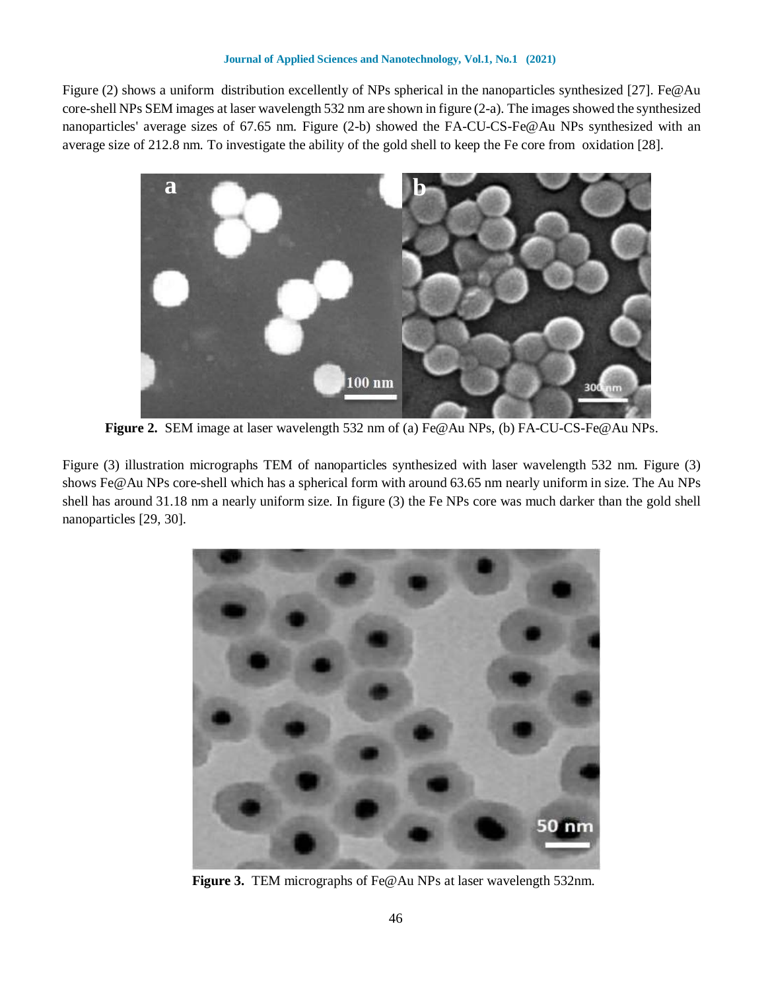Figure (2) shows a uniform distribution excellently of NPs spherical in the nanoparticles synthesized [27]. Fe@Au core-shell NPs SEM images at laser wavelength 532 nm are shown in figure (2-a). The images showed the synthesized nanoparticles' average sizes of 67.65 nm. Figure (2-b) showed the FA-CU-CS-Fe@Au NPs synthesized with an average size of 212.8 nm. To investigate the ability of the gold shell to keep the Fe core from, oxidation [28].



**Figure 2.** SEM image at laser wavelength 532 nm of (a) Fe@Au NPs, (b) FA-CU-CS-Fe@Au NPs.

Figure (3) illustration micrographs TEM of nanoparticles synthesized with laser wavelength 532 nm. Figure (3) shows Fe@Au NPs core-shell which has a spherical form with around 63.65 nm nearly uniform in size. The Au NPs shell has around 31.18 nm a nearly uniform size. In figure (3) the Fe NPs core was much darker than the gold shell nanoparticles [29, 30].



 **Figure 3.** TEM micrographs of Fe@Au NPs at laser wavelength 532nm.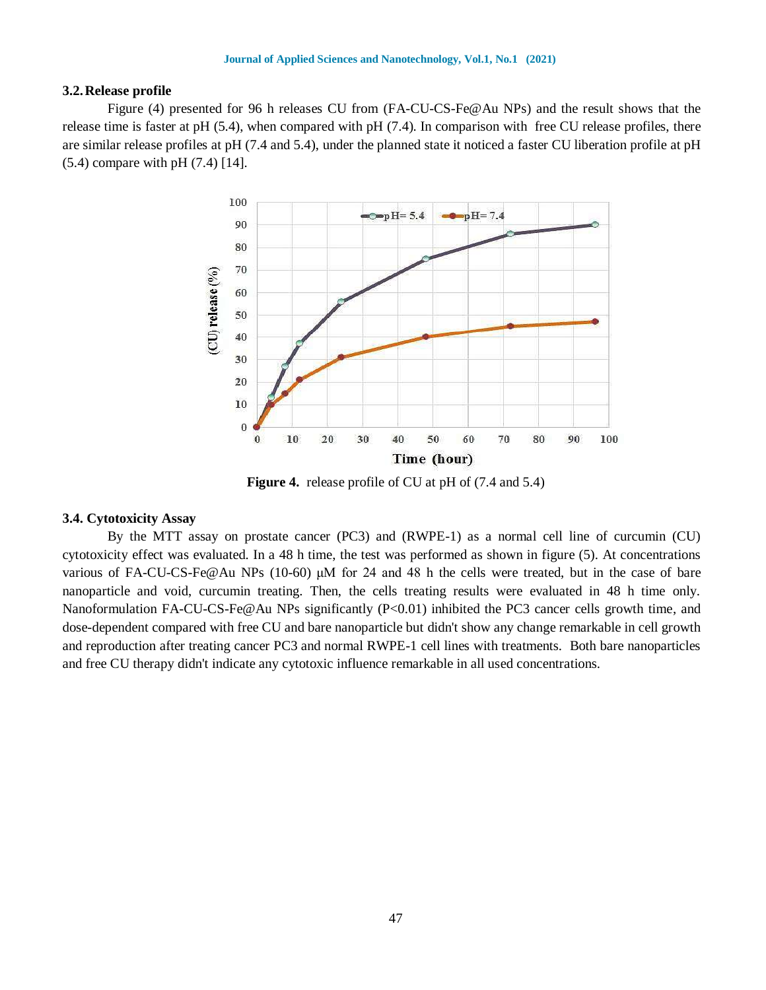#### **3.2.Release profile**

Figure (4) presented for 96 h releases CU from (FA-CU-CS-Fe@Au NPs) and the result shows that the release time is faster at pH  $(5.4)$ , when compared with pH  $(7.4)$ . In comparison with, free CU release profiles, there are similar release profiles at pH (7.4 and 5.4), under the planned state it noticed a faster CU liberation profile at pH (5.4) compare with pH (7.4) [14].



**Figure 4.** release profile of CU at pH of (7.4 and 5.4)

#### **3.4. Cytotoxicity Assay**

By the MTT assay on prostate cancer (PC3) and (RWPE-1) as a normal cell line of curcumin (CU) cytotoxicity effect was evaluated. In a 48 h time, the test was performed as shown in figure (5). At concentrations various of FA-CU-CS-Fe@Au NPs (10-60) μM for 24 and 48 h the cells were treated, but in the case of bare nanoparticle and void, curcumin treating. Then, the cells treating results were evaluated in 48 h time only. Nanoformulation FA-CU-CS-Fe@Au NPs significantly (P<0.01) inhibited the PC3 cancer cells growth time, and dose-dependent compared with free CU and bare nanoparticle but didn't show any change remarkable in cell growth and reproduction after treating cancer PC3 and normal RWPE-1 cell lines with treatments. Both bare nanoparticles and free CU therapy didn't indicate any cytotoxic influence remarkable in all used concentrations.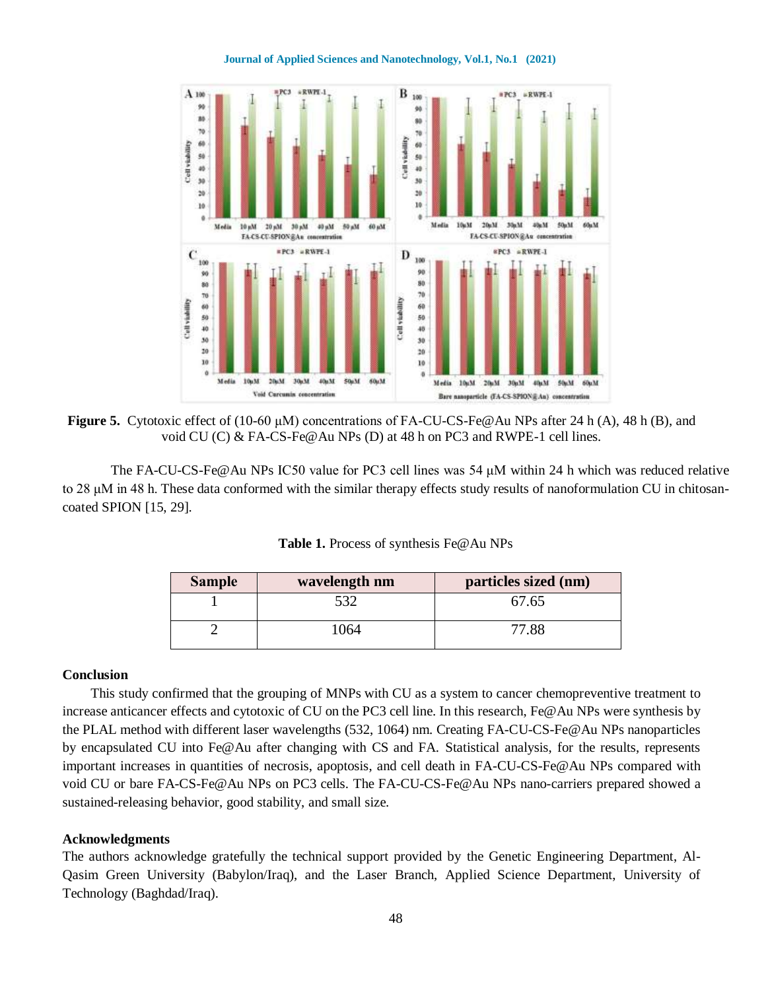#### **Journal of Applied Sciences and Nanotechnology, Vol.1, No.1 (2021)**



**Figure 5.** Cytotoxic effect of (10-60 μM) concentrations of FA-CU-CS-Fe@Au NPs after 24 h (A), 48 h (B), and void CU (C) & FA-CS-Fe@Au NPs (D) at 48 h on PC3 and RWPE-1 cell lines.

The FA-CU-CS-Fe@Au NPs IC50 value for PC3 cell lines was 54 μM within 24 h which was reduced relative to 28 μM in 48 h. These data conformed with the similar therapy effects study results of nanoformulation CU in chitosancoated SPION [15, 29].

| Table 1. Process of synthesis Fe@Au NPs |  |  |  |
|-----------------------------------------|--|--|--|
|-----------------------------------------|--|--|--|

| <b>Sample</b> | wavelength nm | particles sized (nm) |
|---------------|---------------|----------------------|
|               | 530           | 67.65                |
|               | 1064          | 77.88                |

#### **Conclusion**

 This study confirmed that the grouping of MNPs with CU as a system to cancer chemopreventive treatment to increase anticancer effects and cytotoxic of CU on the PC3 cell line. In this research, Fe@Au NPs were synthesis by the PLAL method with different laser wavelengths (532, 1064) nm. Creating FA-CU-CS-Fe@Au NPs nanoparticles by encapsulated CU into Fe@Au after changing with CS and FA. Statistical analysis, for the results, represents important increases in quantities of necrosis, apoptosis, and cell death in FA-CU-CS-Fe@Au NPs compared with void CU or bare FA-CS-Fe@Au NPs on PC3 cells. The FA-CU-CS-Fe@Au NPs nano-carriers prepared showed a sustained-releasing behavior, good stability, and small size.

#### **Acknowledgments**

The authors acknowledge gratefully the technical support provided by the Genetic Engineering Department, Al-Qasim Green University (Babylon/Iraq), and the Laser Branch, Applied Science Department, University of Technology (Baghdad/Iraq).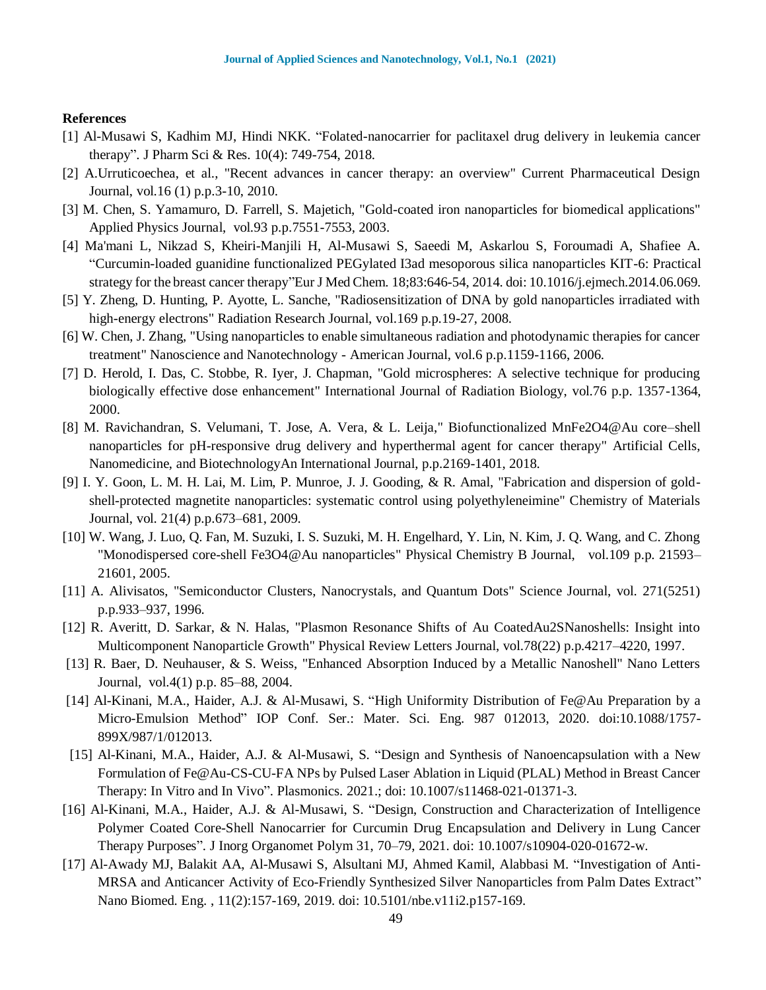#### **References**

- [1] Al-Musawi S, Kadhim MJ, Hindi NKK. "Folated-nanocarrier for paclitaxel drug delivery in leukemia cancer therapy". J Pharm Sci & Res. 10(4): 749-754, 2018.
- [2] A.Urruticoechea, et al., "Recent advances in cancer therapy: an overview" Current Pharmaceutical Design Journal, vol.16 (1) p.p.3-10, 2010.
- [3] M. Chen, S. Yamamuro, D. Farrell, S. Majetich, "Gold-coated iron nanoparticles for biomedical applications" Applied Physics Journal, vol.93 p.p.7551-7553, 2003.
- [4] Ma'mani L, Nikzad S, Kheiri-Manjili H, Al-Musawi S, Saeedi M, Askarlou S, Foroumadi A, Shafiee A. "Curcumin-loaded guanidine functionalized PEGylated I3ad mesoporous silica nanoparticles KIT-6: Practical strategy for the breast cancer therapy"Eur J Med Chem. 18;83:646-54, 2014. doi: 10.1016/j.ejmech.2014.06.069.
- [5] Y. Zheng, D. Hunting, P. Ayotte, L. Sanche, "Radiosensitization of DNA by gold nanoparticles irradiated with high-energy electrons" Radiation Research Journal, vol.169 p.p.19-27, 2008.
- [6] W. Chen, J. Zhang, "Using nanoparticles to enable simultaneous radiation and photodynamic therapies for cancer treatment" Nanoscience and Nanotechnology - American Journal, vol.6 p.p.1159-1166, 2006.
- [7] D. Herold, I. Das, C. Stobbe, R. Iyer, J. Chapman, "Gold microspheres: A selective technique for producing biologically effective dose enhancement" International Journal of Radiation Biology, vol.76 p.p. 1357-1364, 2000.
- [8] M. Ravichandran, S. Velumani, T. Jose, A. Vera, & L. Leija," Biofunctionalized MnFe2O4@Au core–shell nanoparticles for pH-responsive drug delivery and hyperthermal agent for cancer therapy" Artificial Cells, Nanomedicine, and BiotechnologyAn International Journal, p.p.2169-1401, 2018.
- [9] I. Y. Goon, L. M. H. Lai, M. Lim, P. Munroe, J. J. Gooding, & R. Amal, "Fabrication and dispersion of goldshell-protected magnetite nanoparticles: systematic control using polyethyleneimine" Chemistry of Materials Journal, vol. 21(4) p.p.673–681, 2009.
- [10] W. Wang, J. Luo, Q. Fan, M. Suzuki, I. S. Suzuki, M. H. Engelhard, Y. Lin, N. Kim, J. Q. Wang, and C. Zhong "Monodispersed core-shell Fe3O4@Au nanoparticles" Physical Chemistry B Journal, vol.109 p.p. 21593– 21601, 2005.
- [11] A. Alivisatos, "Semiconductor Clusters, Nanocrystals, and Quantum Dots" Science Journal, vol. 271(5251) p.p.933–937, 1996.
- [12] R. Averitt, D. Sarkar, & N. Halas, "Plasmon Resonance Shifts of Au CoatedAu2SNanoshells: Insight into Multicomponent Nanoparticle Growth" Physical Review Letters Journal, vol.78(22) p.p.4217–4220, 1997.
- [13] R. Baer, D. Neuhauser, & S. Weiss, "Enhanced Absorption Induced by a Metallic Nanoshell" Nano Letters Journal, vol.4(1) p.p. 85–88, 2004.
- [14] Al-Kinani, M.A., Haider, A.J. & Al-Musawi, S. "High Uniformity Distribution of Fe@Au Preparation by a Micro-Emulsion Method" IOP Conf. Ser.: Mater. Sci. Eng. 987 012013, 2020. doi:10.1088/1757- 899X/987/1/012013.
- [15] Al-Kinani, M.A., Haider, A.J. & Al-Musawi, S. "Design and Synthesis of Nanoencapsulation with a New Formulation of Fe@Au-CS-CU-FA NPs by Pulsed Laser Ablation in Liquid (PLAL) Method in Breast Cancer Therapy: In Vitro and In Vivo". Plasmonics. 2021.; doi: 10.1007/s11468-021-01371-3.
- [16] Al-Kinani, M.A., Haider, A.J. & Al-Musawi, S. "Design, Construction and Characterization of Intelligence Polymer Coated Core-Shell Nanocarrier for Curcumin Drug Encapsulation and Delivery in Lung Cancer Therapy Purposes". J Inorg Organomet Polym 31, 70–79, 2021. doi: 10.1007/s10904-020-01672-w.
- [17] Al-Awady MJ, Balakit AA, Al-Musawi S, Alsultani MJ, Ahmed Kamil, Alabbasi M. "Investigation of Anti-MRSA and Anticancer Activity of Eco-Friendly Synthesized Silver Nanoparticles from Palm Dates Extract" Nano Biomed. Eng. , 11(2):157-169, 2019. doi: 10.5101/nbe.v11i2.p157-169.